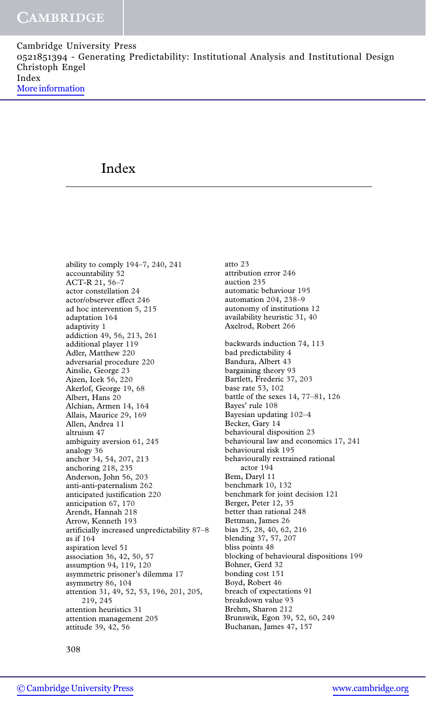# Index

ability to comply 194–7, 240, 241 accountability 52 ACT-R 21, 56–7 actor constellation 24 actor/observer effect 246 ad hoc intervention 5, 215 adaptation 164 adaptivity 1 addiction 49, 56, 213, 261 additional player 119 Adler, Matthew 220 adversarial procedure 220 Ainslie, George 23 Ajzen, Icek 56, 220 Akerlof, George 19, 68 Albert, Hans 20 Alchian, Armen 14, 164 Allais, Maurice 29, 169 Allen, Andrea 11 altruism 47 ambiguity aversion 61, 245 analogy 36 anchor 34, 54, 207, 213 anchoring 218, 235 Anderson, John 56, 203 anti-anti-paternalism 262 anticipated justification 220 anticipation 67, 170 Arendt, Hannah 218 Arrow, Kenneth 193 artificially increased unpredictability 87–8 as if 164 aspiration level 51 association 36, 42, 50, 57 assumption 94, 119, 120 asymmetric prisoner's dilemma 17 asymmetry 86, 104 attention 31, 49, 52, 53, 196, 201, 205, 219, 245 attention heuristics 31 attention management 205 attitude 39, 42, 56

atto 23 attribution error 246 auction 235 automatic behaviour 195 automation 204, 238–9 autonomy of institutions 12 availability heuristic 31, 40 Axelrod, Robert 266 backwards induction 74, 113 bad predictability 4 Bandura, Albert 43 bargaining theory 93 Bartlett, Frederic 37, 203 base rate 53, 102 battle of the sexes 14, 77–81, 126 Bayes' rule 108 Bayesian updating 102–4 Becker, Gary 14 behavioural disposition 23 behavioural law and economics 17, 241 behavioural risk 195 behaviourally restrained rational actor 194 Bem, Daryl 11 benchmark 10, 132 benchmark for joint decision 121 Berger, Peter 12, 35 better than rational 248 Bettman, James 26 bias 25, 28, 40, 62, 216 blending 37, 57, 207 bliss points 48 blocking of behavioural dispositions 199 Bohner, Gerd 32 bonding cost 151 Boyd, Robert 46 breach of expectations 91 breakdown value 93 Brehm, Sharon 212 Brunswik, Egon 39, 52, 60, 249 Buchanan, James 47, 157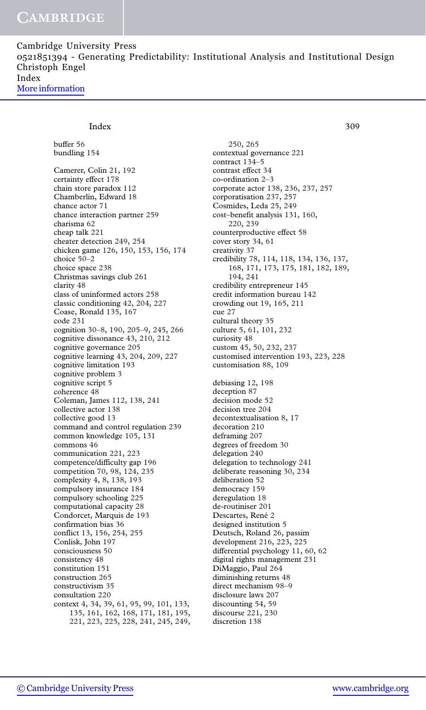Cambridge University Press 0521851394 - Generating Predictability: Institutional Analysis and Institutional Design Christoph Engel Index [More information](http://www.cambridge.org/0521851394)

## Index 309

buffer 56 bundling 154 Camerer, Colin 21, 192 certainty effect 178 chain store paradox 112 Chamberlin, Edward 18 chance actor 71 chance interaction partner 259 charisma 62 cheap talk 221 cheater detection 249, 254 chicken game 126, 150, 153, 156, 174 choice 50–2 choice space 238 Christmas savings club 261 clarity 48 class of uninformed actors 258 classic conditioning 42, 204, 227 Coase, Ronald 135, 167 code 231 cognition 30–8, 190, 205–9, 245, 266 cognitive dissonance 43, 210, 212 cognitive governance 205 cognitive learning 43, 204, 209, 227 cognitive limitation 193 cognitive problem 3 cognitive script 5 coherence 48 Coleman, James 112, 138, 241 collective actor 138 collective good 13 command and control regulation 239 common knowledge 105, 131 commons 46 communication 221, 223 competence/difficulty gap 196 competition 70, 98, 124, 235 complexity 4, 8, 138, 193 compulsory insurance 184 compulsory schooling 225 computational capacity 28 Condorcet, Marquis de 193 confirmation bias 36 conflict 13, 156, 254, 255 Conlisk, John 197 consciousness 50 consistency 48 constitution 151 construction 265 constructivism 35 consultation 220 context 4, 34, 39, 61, 95, 99, 101, 133, 135, 161, 162, 168, 171, 181, 195, 221, 223, 225, 228, 241, 245, 249,

250, 265 contextual governance 221 contract 134–5 contrast effect 34 co-ordination 2–3 corporate actor 138, 236, 237, 257 corporatisation 237, 257 Cosmides, Leda 25, 249 cost–benefit analysis 131, 160, 220, 239 counterproductive effect 58 cover story 34, 61 creativity 37 credibility 78, 114, 118, 134, 136, 137, 168, 171, 173, 175, 181, 182, 189, 194, 241 credibility entrepreneur 145 credit information bureau 142 crowding out 19, 165, 211 cue 27 cultural theory 35 culture 5, 61, 101, 232 curiosity 48 custom 45, 50, 232, 237 customised intervention 193, 223, 228 customisation 88, 109 debiasing 12, 198 deception 87 decision mode 52 decision tree 204 decontextualisation 8, 17 decoration 210 deframing 207 degrees of freedom 30 delegation 240 delegation to technology 241 deliberate reasoning 30, 234 deliberation 52 democracy 159 deregulation 18 de-routiniser 201 Descartes, René 2 designed institution 5 Deutsch, Roland 26, passim development 216, 223, 225 differential psychology 11, 60, 62 digital rights management 231 DiMaggio, Paul 264 diminishing returns 48 direct mechanism 98–9 disclosure laws 207 discounting 54, 59 discourse 221, 230 discretion 138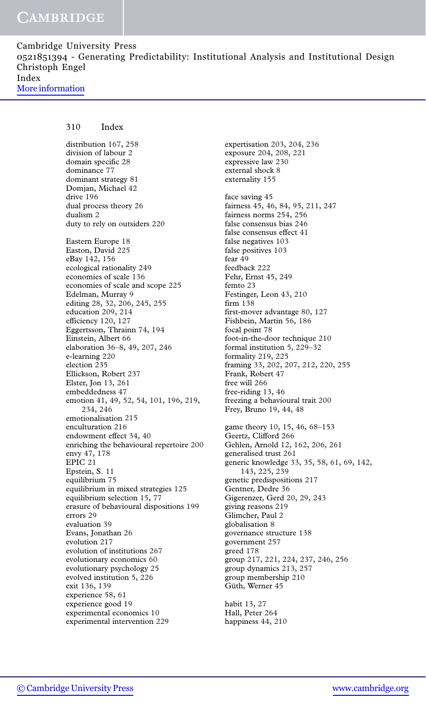310 Index

distribution 167, 258 division of labour 2 domain specific 28 dominance 77 dominant strategy 81 Domjan, Michael 42 drive 196 dual process theory 26 dualism 2 duty to rely on outsiders 220 Eastern Europe 18 Easton, David 225 eBay 142, 156 ecological rationality 249 economies of scale 136 economies of scale and scope 225 Edelman, Murray 9 editing 28, 32, 206, 245, 255 education 209, 214 efficiency 120, 127 Eggertsson, Thrainn 74, 194 Einstein, Albert 66 elaboration 36–8, 49, 207, 246 e-learning 220 election 235 Ellickson, Robert 237 Elster, Jon 13, 261 embeddedness 47 emotion 41, 49, 52, 54, 101, 196, 219, 234, 246 emotionalisation 215 enculturation 216 endowment effect 34, 40 enriching the behavioural repertoire 200 envy 47, 178 EPIC 21 Epstein, S. 11 equilibrium 75 equilibrium in mixed strategies 125 equilibrium selection 15, 77 erasure of behavioural dispositions 199 errors 29 evaluation 39 Evans, Jonathan 26 evolution 217 evolution of institutions 267 evolutionary economics 60 evolutionary psychology 25 evolved institution 5, 226 exit 136, 139 experience 58, 61 experience good 19 experimental economics 10 experimental intervention 229

expertisation 203, 204, 236 exposure 204, 208, 221 expressive law 230 external shock 8 externality 155 face saving 45 fairness 45, 46, 84, 95, 211, 247 fairness norms 254, 256 false consensus bias 246 false consensus effect 41 false negatives 103 false positives 103 fear 49 feedback 222 Fehr, Ernst 45, 249 femto 23 Festinger, Leon 43, 210 firm 138 first-mover advantage 80, 127 Fishbein, Martin 56, 186 focal point 78 foot-in-the-door technique 210 formal institution 5, 229–32 formality 219, 225 framing 33, 202, 207, 212, 220, 255 Frank, Robert 47 free will 266 free-riding 13, 46 freezing a behavioural trait 200 Frey, Bruno 19, 44, 48 game theory 10, 15, 46, 68–153 Geertz, Clifford 266 Gehlen, Arnold 12, 162, 206, 261 generalised trust 261 generic knowledge 33, 35, 58, 61, 69, 142, 143, 225, 239 genetic predispositions 217 Gentner, Dedre 36 Gigerenzer, Gerd 20, 29, 243 giving reasons 219 Glimcher, Paul 2 globalisation 8 governance structure 138 government 257 greed 178 group 217, 221, 224, 237, 246, 256 group dynamics 213, 257 group membership 210 Güth, Werner 45

habit 13, 27 Hall, Peter 264 happiness 44, 210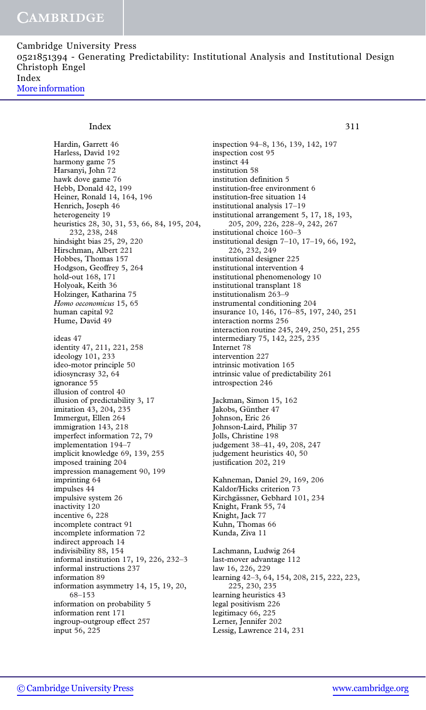Cambridge University Press 0521851394 - Generating Predictability: Institutional Analysis and Institutional Design Christoph Engel Index [More information](http://www.cambridge.org/0521851394)

#### Index 311

Hardin, Garrett 46 Harless, David 192 harmony game 75 Harsanyi, John 72 hawk dove game 76 Hebb, Donald 42, 199 Heiner, Ronald 14, 164, 196 Henrich, Joseph 46 heterogeneity 19 heuristics 28, 30, 31, 53, 66, 84, 195, 204, 232, 238, 248 hindsight bias 25, 29, 220 Hirschman, Albert 221 Hobbes, Thomas 157 Hodgson, Geoffrey 5, 264 hold-out 168, 171 Holyoak, Keith 36 Holzinger, Katharina 75 Homo oeconomicus 15, 65 human capital 92 Hume, David 49 ideas 47 identity 47, 211, 221, 258 ideology 101, 233 ideo-motor principle 50 idiosyncrasy 32, 64 ignorance 55 illusion of control 40 illusion of predictability 3, 17 imitation 43, 204, 235 Immergut, Ellen 264 immigration 143, 218 imperfect information 72, 79 implementation 194–7 implicit knowledge 69, 139, 255 imposed training 204 impression management 90, 199 imprinting 64 impulses 44 impulsive system 26 inactivity 120 incentive 6, 228 incomplete contract 91 incomplete information 72 indirect approach 14 indivisibility 88, 154 informal institution 17, 19, 226, 232–3 informal instructions 237 information 89 information asymmetry 14, 15, 19, 20, 68–153 information on probability 5 information rent 171 ingroup-outgroup effect 257 input 56, 225

inspection 94–8, 136, 139, 142, 197 inspection cost 95 instinct 44 institution 58 institution definition 5 institution-free environment 6 institution-free situation 14 institutional analysis 17–19 institutional arrangement 5, 17, 18, 193, 205, 209, 226, 228–9, 242, 267 institutional choice 160–3 institutional design 7–10, 17–19, 66, 192, 226, 232, 249 institutional designer 225 institutional intervention 4 institutional phenomenology 10 institutional transplant 18 institutionalism 263–9 instrumental conditioning 204 insurance 10, 146, 176–85, 197, 240, 251 interaction norms 256 interaction routine 245, 249, 250, 251, 255 intermediary 75, 142, 225, 235 Internet 78 intervention 227 intrinsic motivation 165 intrinsic value of predictability 261 introspection 246 Jackman, Simon 15, 162

Jakobs, Günther 47 Johnson, Eric 26 Johnson-Laird, Philip 37 Jolls, Christine 198 judgement 38–41, 49, 208, 247 judgement heuristics 40, 50 justification 202, 219

Kahneman, Daniel 29, 169, 206 Kaldor/Hicks criterion 73 Kirchgässner, Gebhard 101, 234 Knight, Frank 55, 74 Knight, Jack 77 Kuhn, Thomas 66 Kunda, Ziva 11

Lachmann, Ludwig 264 last-mover advantage 112 law 16, 226, 229 learning 42–3, 64, 154, 208, 215, 222, 223, 225, 230, 235 learning heuristics 43 legal positivism 226 legitimacy 66, 225 Lerner, Jennifer 202 Lessig, Lawrence 214, 231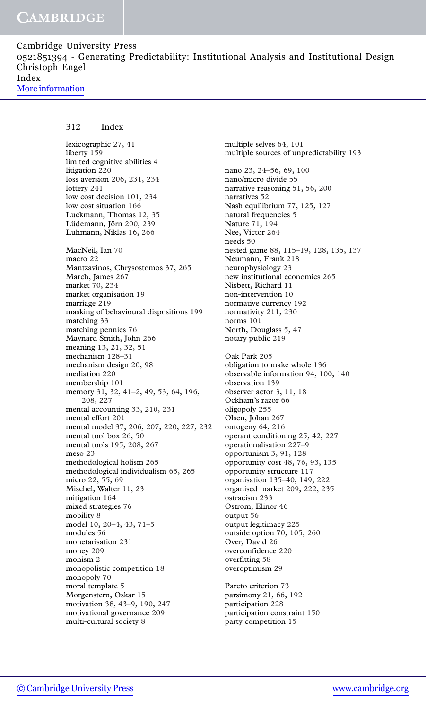### 312 Index

lexicographic 27, 41 liberty 159 limited cognitive abilities 4 litigation 220 loss aversion 206, 231, 234 lottery 241 low cost decision 101, 234 low cost situation 166 Luckmann, Thomas 12, 35 Lüdemann, Jörn 200, 239 Luhmann, Niklas 16, 266 MacNeil, Ian 70 macro 22 Mantzavinos, Chrysostomos 37, 265 March, James 267 market 70, 234 market organisation 19 marriage 219 masking of behavioural dispositions 199 matching 33 matching pennies 76 Maynard Smith, John 266 meaning 13, 21, 32, 51 mechanism 128–31 mechanism design 20, 98 mediation 220 membership 101 memory 31, 32, 41–2, 49, 53, 64, 196, 208, 227 mental accounting 33, 210, 231 mental effort 201 mental model 37, 206, 207, 220, 227, 232 mental tool box 26, 50 mental tools 195, 208, 267 meso 23 methodological holism 265 methodological individualism 65, 265 micro 22, 55, 69 Mischel, Walter 11, 23 mitigation 164 mixed strategies 76 mobility 8 model 10, 20–4, 43, 71–5 modules 56 monetarisation 231 money 209 monism 2 monopolistic competition 18 monopoly 70 moral template 5 Morgenstern, Oskar 15 motivation 38, 43–9, 190, 247 motivational governance 209 multi-cultural society 8

multiple selves 64, 101 multiple sources of unpredictability 193 nano 23, 24–56, 69, 100 nano/micro divide 55 narrative reasoning 51, 56, 200 narratives 52 Nash equilibrium 77, 125, 127 natural frequencies 5 Nature 71, 194 Nee, Victor 264 needs 50 nested game 88, 115–19, 128, 135, 137 Neumann, Frank 218 neurophysiology 23 new institutional economics 265 Nisbett, Richard 11 non-intervention 10 normative currency 192 normativity 211, 230 norms 101 North, Douglass 5, 47 notary public 219 Oak Park 205 obligation to make whole 136 observable information 94, 100, 140 observation 139 observer actor 3, 11, 18 Ockham's razor 66 oligopoly 255 Olsen, Johan 267 ontogeny 64, 216 operant conditioning 25, 42, 227 operationalisation 227–9 opportunism 3, 91, 128 opportunity cost 48, 76, 93, 135 opportunity structure 117 organisation 135–40, 149, 222 organised market 209, 222, 235 ostracism 233 Ostrom, Elinor 46 output 56 output legitimacy 225 outside option 70, 105, 260 Over, David 26 overconfidence 220 overfitting 58 overoptimism 29 Pareto criterion 73 parsimony 21, 66, 192 participation 228 participation constraint 150 party competition 15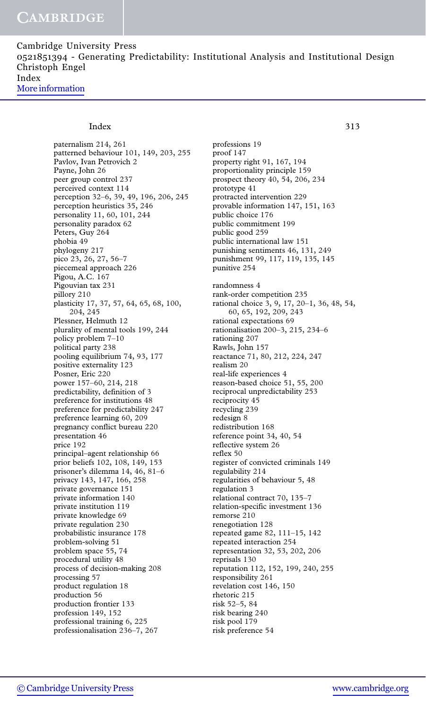Cambridge University Press 0521851394 - Generating Predictability: Institutional Analysis and Institutional Design Christoph Engel Index [More information](http://www.cambridge.org/0521851394)

#### Index 313

paternalism 214, 261 patterned behaviour 101, 149, 203, 255 Pavlov, Ivan Petrovich 2 Payne, John 26 peer group control 237 perceived context 114 perception 32–6, 39, 49, 196, 206, 245 perception heuristics 35, 246 personality 11, 60, 101, 244 personality paradox 62 Peters, Guy 264 phobia 49 phylogeny 217 pico 23, 26, 27, 56–7 piecemeal approach 226 Pigou, A.C. 167 Pigouvian tax 231 pillory 210 plasticity 17, 37, 57, 64, 65, 68, 100, 204, 245 Plessner, Helmuth 12 plurality of mental tools 199, 244 policy problem 7–10 political party 238 pooling equilibrium 74, 93, 177 positive externality 123 Posner, Eric 220 power 157–60, 214, 218 predictability, definition of 3 preference for institutions 48 preference for predictability 247 preference learning 60, 209 pregnancy conflict bureau 220 presentation 46 price 192 principal–agent relationship 66 prior beliefs 102, 108, 149, 153 prisoner's dilemma 14, 46, 81–6 privacy 143, 147, 166, 258 private governance 151 private information 140 private institution 119 private knowledge 69 private regulation 230 probabilistic insurance 178 problem-solving 51 problem space 55, 74 procedural utility 48 process of decision-making 208 processing 57 product regulation 18 production 56 production frontier 133 profession 149, 152 professional training 6, 225 professionalisation 236–7, 267

professions 19 proof 147 property right 91, 167, 194 proportionality principle 159 prospect theory 40, 54, 206, 234 prototype 41 protracted intervention 229 provable information 147, 151, 163 public choice 176 public commitment 199 public good 259 public international law 151 punishing sentiments 46, 131, 249 punishment 99, 117, 119, 135, 145 punitive 254 randomness 4 rank-order competition 235 rational choice 3, 9, 17, 20–1, 36, 48, 54, 60, 65, 192, 209, 243 rational expectations 69 rationalisation 200–3, 215, 234–6 rationing 207 Rawls, John 157 reactance 71, 80, 212, 224, 247 realism 20 real-life experiences 4 reason-based choice 51, 55, 200 reciprocal unpredictability 253 reciprocity 45 recycling 239 redesign 8 redistribution 168 reference point 34, 40, 54 reflective system 26 reflex 50 register of convicted criminals 149 regulability 214 regularities of behaviour 5, 48 regulation 3 relational contract 70, 135–7 relation-specific investment 136 remorse 210 renegotiation 128 repeated game 82, 111–15, 142 repeated interaction 254 representation 32, 53, 202, 206 reprisals 130 reputation 112, 152, 199, 240, 255 responsibility 261 revelation cost 146, 150 rhetoric 215 risk 52–5, 84 risk bearing 240 risk pool 179 risk preference 54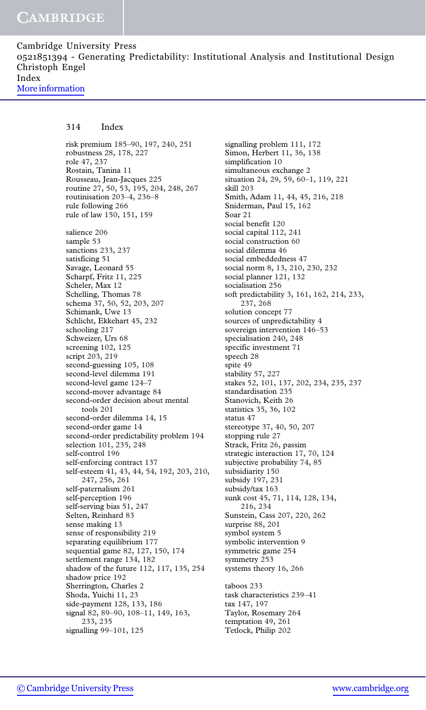### 314 Index

risk premium 185–90, 197, 240, 251 robustness 28, 178, 227 role 47, 237 Rostain, Tanina 11 Rousseau, Jean-Jacques 225 routine 27, 50, 53, 195, 204, 248, 267 routinisation 203–4, 236–8 rule following 266 rule of law 150, 151, 159 salience 206 sample 53 sanctions 233, 237 satisficing 51 Savage, Leonard 55 Scharpf, Fritz 11, 225 Scheler, Max 12 Schelling, Thomas 78 schema 37, 50, 52, 203, 207 Schimank, Uwe 13 Schlicht, Ekkehart 45, 232 schooling 217 Schweizer, Urs 68 screening 102, 125 script 203, 219 second-guessing 105, 108 second-level dilemma 191 second-level game 124–7 second-mover advantage 84 second-order decision about mental tools 201 second-order dilemma 14, 15 second-order game 14 second-order predictability problem 194 selection 101, 235, 248 self-control 196 self-enforcing contract 137 self-esteem 41, 43, 44, 54, 192, 203, 210, 247, 256, 261 self-paternalism 261 self-perception 196 self-serving bias 51, 247 Selten, Reinhard 83 sense making 13 sense of responsibility 219 separating equilibrium 177 sequential game 82, 127, 150, 174 settlement range 134, 182 shadow of the future 112, 117, 135, 254 shadow price 192 Sherrington, Charles 2 Shoda, Yuichi 11, 23 side-payment 128, 133, 186 signal 82, 89–90, 108–11, 149, 163, 233, 235 signalling 99–101, 125

signalling problem 111, 172 Simon, Herbert 11, 36, 138 simplification 10 simultaneous exchange 2 situation 24, 29, 59, 60–1, 119, 221 skill 203 Smith, Adam 11, 44, 45, 216, 218 Sniderman, Paul 15, 162 Soar 21 social benefit 120 social capital 112, 241 social construction 60 social dilemma 46 social embeddedness 47 social norm 8, 13, 210, 230, 232 social planner 121, 132 socialisation 256 soft predictability 3, 161, 162, 214, 233, 237, 268 solution concept 77 sources of unpredictability 4 sovereign intervention 146–53 specialisation 240, 248 specific investment 71 speech 28 spite 49 stability 57, 227 stakes 52, 101, 137, 202, 234, 235, 237 standardisation 235 Stanovich, Keith 26 statistics 35, 36, 102 status 47 stereotype 37, 40, 50, 207 stopping rule 27 Strack, Fritz 26, passim strategic interaction 17, 70, 124 subjective probability 74, 85 subsidiarity 150 subsidy 197, 231 subsidy/tax 163 sunk cost 45, 71, 114, 128, 134, 216, 234 Sunstein, Cass 207, 220, 262 surprise 88, 201 symbol system 5 symbolic intervention 9 symmetric game 254 symmetry 253 systems theory 16, 266 taboos 233 task characteristics 239–41 tax 147, 197 Taylor, Rosemary 264 temptation 49, 261 Tetlock, Philip 202